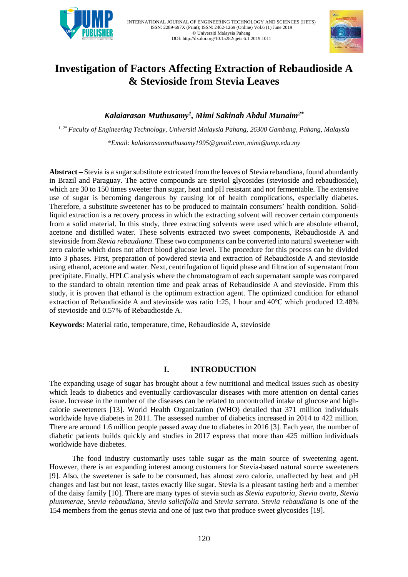



# **Investigation of Factors Affecting Extraction of Rebaudioside A & Stevioside from Stevia Leaves**

# *Kalaiarasan Muthusamy<sup>1</sup> , Mimi Sakinah Abdul Munaim2\**

*1, 2\* Faculty of Engineering Technology, Universiti Malaysia Pahang, 26300 Gambang, Pahang, Malaysia \*Email: [kalaiarasanmuthusamy1995@gmail.com,](mailto:kalaiarasanmuthusamy1995@gmail.com) [mimi@ump.edu.my](mailto:mimi@ump.edu.my)*

**Abstract –** Stevia is a sugar substitute extricated from the leaves of Stevia rebaudiana, found abundantly in Brazil and Paraguay. The active compounds are steviol glycosides (stevioside and rebaudioside), which are 30 to 150 times sweeter than sugar, heat and pH resistant and not fermentable. The extensive use of sugar is becoming dangerous by causing lot of health complications, especially diabetes. Therefore, a substitute sweetener has to be produced to maintain consumers' health condition. Solidliquid extraction is a recovery process in which the extracting solvent will recover certain components from a solid material. In this study, three extracting solvents were used which are absolute ethanol, acetone and distilled water. These solvents extracted two sweet components, Rebaudioside A and stevioside from *Stevia rebaudiana*. These two components can be converted into natural sweetener with zero calorie which does not affect blood glucose level. The procedure for this process can be divided into 3 phases. First, preparation of powdered stevia and extraction of Rebaudioside A and stevioside using ethanol, acetone and water. Next, centrifugation of liquid phase and filtration of supernatant from precipitate. Finally, HPLC analysis where the chromatogram of each supernatant sample was compared to the standard to obtain retention time and peak areas of Rebaudioside A and stevioside. From this study, it is proven that ethanol is the optimum extraction agent. The optimized condition for ethanol extraction of Rebaudioside A and stevioside was ratio 1:25, 1 hour and 40℃ which produced 12.48% of stevioside and 0.57% of Rebaudioside A.

**Keywords:** Material ratio, temperature, time, Rebaudioside A, stevioside

# **I. INTRODUCTION**

The expanding usage of sugar has brought about a few nutritional and medical issues such as obesity which leads to diabetics and eventually cardiovascular diseases with more attention on dental caries issue. Increase in the number of the diseases can be related to uncontrolled intake of glucose and highcalorie sweeteners [13]. World Health Organization (WHO) detailed that 371 million individuals worldwide have diabetes in 2011. The assessed number of diabetics increased in 2014 to 422 million. There are around 1.6 million people passed away due to diabetes in 2016 [3]. Each year, the number of diabetic patients builds quickly and studies in 2017 express that more than 425 million individuals worldwide have diabetes.

 The food industry customarily uses table sugar as the main source of sweetening agent. However, there is an expanding interest among customers for Stevia-based natural source sweeteners [9]. Also, the sweetener is safe to be consumed, has almost zero calorie, unaffected by heat and pH changes and last but not least, tastes exactly like sugar. Stevia is a pleasant tasting herb and a member of the daisy family [10]. There are many types of stevia such as *Stevia eupatoria*, *Stevia ovata*, *Stevia plummerae*, *Stevia rebaudiana*, *Stevia salicifolia* and *Stevia serrata*. *Stevia rebaudiana* is one of the 154 members from the genus stevia and one of just two that produce sweet glycosides [19].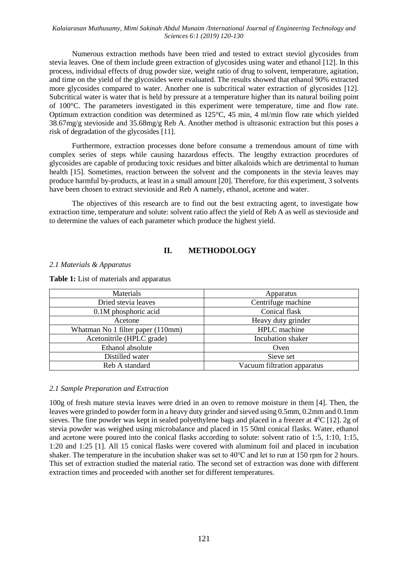Numerous extraction methods have been tried and tested to extract steviol glycosides from stevia leaves. One of them include green extraction of glycosides using water and ethanol [12]. In this process, individual effects of drug powder size, weight ratio of drug to solvent, temperature, agitation, and time on the yield of the glycosides were evaluated. The results showed that ethanol 90% extracted more glycosides compared to water. Another one is subcritical water extraction of glycosides [12]. Subcritical water is water that is held by pressure at a temperature higher than its natural boiling point of 100°C. The parameters investigated in this experiment were temperature, time and flow rate. Optimum extraction condition was determined as 125°C, 45 min, 4 ml/min flow rate which yielded 38.67mg/g stevioside and 35.68mg/g Reb A. Another method is ultrasonic extraction but this poses a risk of degradation of the glycosides [11].

 Furthermore, extraction processes done before consume a tremendous amount of time with complex series of steps while causing hazardous effects. The lengthy extraction procedures of glycosides are capable of producing toxic residues and bitter alkaloids which are detrimental to human health [15]. Sometimes, reaction between the solvent and the components in the stevia leaves may produce harmful by-products, at least in a small amount [20]. Therefore, for this experiment, 3 solvents have been chosen to extract stevioside and Reb A namely, ethanol, acetone and water.

 The objectives of this research are to find out the best extracting agent, to investigate how extraction time, temperature and solute: solvent ratio affect the yield of Reb A as well as stevioside and to determine the values of each parameter which produce the highest yield.

# **II. METHODOLOGY**

*2.1 Materials & Apparatus*

**Table 1:** List of materials and apparatus

| Materials                         | Apparatus                   |  |
|-----------------------------------|-----------------------------|--|
| Dried stevia leaves               | Centrifuge machine          |  |
| 0.1M phosphoric acid              | Conical flask               |  |
| Acetone                           | Heavy duty grinder          |  |
| Whatman No 1 filter paper (110mm) | HPLC machine                |  |
| Acetonitrile (HPLC grade)         | Incubation shaker           |  |
| Ethanol absolute                  | Oven                        |  |
| Distilled water                   | Sieve set                   |  |
| Reb A standard                    | Vacuum filtration apparatus |  |

## *2.1 Sample Preparation and Extraction*

100g of fresh mature stevia leaves were dried in an oven to remove moisture in them [4]. Then, the leaves were grinded to powder form in a heavy duty grinder and sieved using 0.5mm, 0.2mm and 0.1mm sieves. The fine powder was kept in sealed polyethylene bags and placed in a freezer at 4<sup>0</sup>C [12]. 2g of stevia powder was weighed using microbalance and placed in 15 50ml conical flasks. Water, ethanol and acetone were poured into the conical flasks according to solute: solvent ratio of 1:5, 1:10, 1:15, 1:20 and 1:25 [1]. All 15 conical flasks were covered with aluminum foil and placed in incubation shaker. The temperature in the incubation shaker was set to 40℃ and let to run at 150 rpm for 2 hours. This set of extraction studied the material ratio. The second set of extraction was done with different extraction times and proceeded with another set for different temperatures.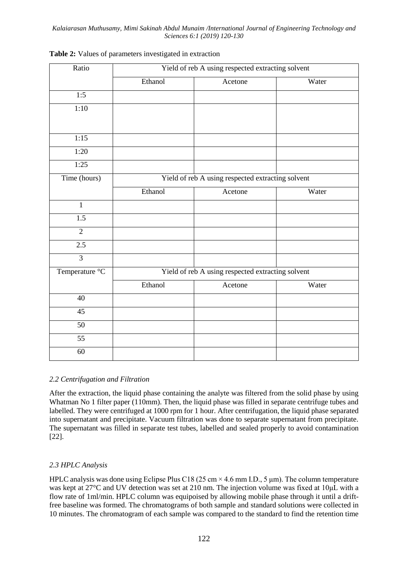| Ratio           | Yield of reb A using respected extracting solvent |                                                   |       |  |
|-----------------|---------------------------------------------------|---------------------------------------------------|-------|--|
|                 | Ethanol                                           | Acetone                                           | Water |  |
| 1:5             |                                                   |                                                   |       |  |
| 1:10            |                                                   |                                                   |       |  |
|                 |                                                   |                                                   |       |  |
| 1:15            |                                                   |                                                   |       |  |
| 1:20            |                                                   |                                                   |       |  |
| 1:25            |                                                   |                                                   |       |  |
| Time (hours)    |                                                   | Yield of reb A using respected extracting solvent |       |  |
|                 | Ethanol                                           | Acetone                                           | Water |  |
| $\mathbf{1}$    |                                                   |                                                   |       |  |
| 1.5             |                                                   |                                                   |       |  |
| $\overline{2}$  |                                                   |                                                   |       |  |
| 2.5             |                                                   |                                                   |       |  |
| $\overline{3}$  |                                                   |                                                   |       |  |
| Temperature °C  |                                                   | Yield of reb A using respected extracting solvent |       |  |
|                 | Ethanol                                           | Acetone                                           | Water |  |
| $\overline{40}$ |                                                   |                                                   |       |  |
| $\overline{45}$ |                                                   |                                                   |       |  |
| 50              |                                                   |                                                   |       |  |
| $\overline{55}$ |                                                   |                                                   |       |  |
| 60              |                                                   |                                                   |       |  |

## **Table 2:** Values of parameters investigated in extraction

## *2.2 Centrifugation and Filtration*

After the extraction, the liquid phase containing the analyte was filtered from the solid phase by using Whatman No 1 filter paper (110mm). Then, the liquid phase was filled in separate centrifuge tubes and labelled. They were centrifuged at 1000 rpm for 1 hour. After centrifugation, the liquid phase separated into supernatant and precipitate. Vacuum filtration was done to separate supernatant from precipitate. The supernatant was filled in separate test tubes, labelled and sealed properly to avoid contamination [22].

# *2.3 HPLC Analysis*

HPLC analysis was done using Eclipse Plus C18 (25 cm  $\times$  4.6 mm I.D., 5 µm). The column temperature was kept at 27°C and UV detection was set at 210 nm. The injection volume was fixed at 10μL with a flow rate of 1ml/min. HPLC column was equipoised by allowing mobile phase through it until a driftfree baseline was formed. The chromatograms of both sample and standard solutions were collected in 10 minutes. The chromatogram of each sample was compared to the standard to find the retention time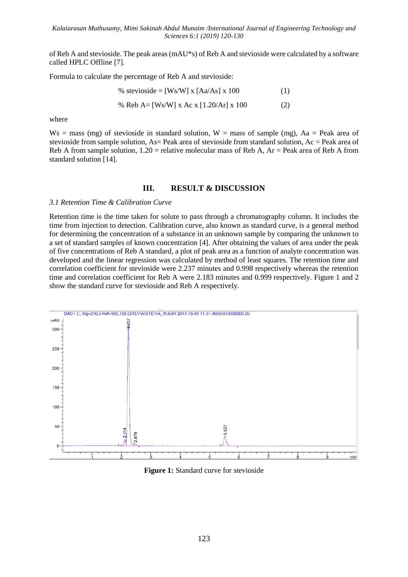of Reb A and stevioside. The peak areas (mAU\*s) of Reb A and stevioside were calculated by a software called HPLC Offline [7].

Formula to calculate the percentage of Reb A and stevioside:

% stevioside = [Ws/W] x [Aa/As] x 100 (1) % Reb A= [Ws/W] x Ac x [1.20/Ar] x 100 (2)

where

 $Ws$  = mass (mg) of stevioside in standard solution,  $W$  = mass of sample (mg), Aa = Peak area of stevioside from sample solution, As = Peak area of stevioside from standard solution, Ac = Peak area of Reb A from sample solution,  $1.20$  = relative molecular mass of Reb A,  $Ar$  = Peak area of Reb A from standard solution [14].

#### **III. RESULT & DISCUSSION**

#### *3.1 Retention Time & Calibration Curve*

Retention time is the time taken for solute to pass through a chromatography column. It includes the time from injection to detection. Calibration curve, also known as standard curve, is a general method for determining the concentration of a substance in an unknown sample by comparing the unknown to a set of standard samples of known concentration [4]. After obtaining the values of area under the peak of five concentrations of Reb A standard, a plot of peak area as a function of analyte concentration was developed and the linear regression was calculated by method of least squares. The retention time and correlation coefficient for stevioside were 2.237 minutes and 0.998 respectively whereas the retention time and correlation coefficient for Reb A were 2.183 minutes and 0.999 respectively. Figure 1 and 2 show the standard curve for stevioside and Reb A respectively.



**Figure 1:** Standard curve for stevioside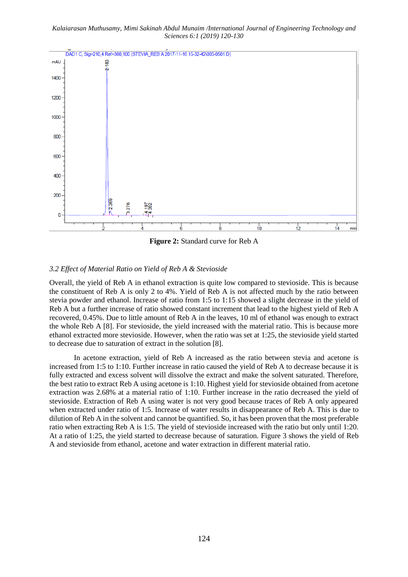

**Figure 2:** Standard curve for Reb A

# *3.2 Effect of Material Ratio on Yield of Reb A & Stevioside*

Overall, the yield of Reb A in ethanol extraction is quite low compared to stevioside. This is because the constituent of Reb A is only 2 to 4%. Yield of Reb A is not affected much by the ratio between stevia powder and ethanol. Increase of ratio from 1:5 to 1:15 showed a slight decrease in the yield of Reb A but a further increase of ratio showed constant increment that lead to the highest yield of Reb A recovered, 0.45%. Due to little amount of Reb A in the leaves, 10 ml of ethanol was enough to extract the whole Reb A [8]. For stevioside, the yield increased with the material ratio. This is because more ethanol extracted more stevioside. However, when the ratio was set at 1:25, the stevioside yield started to decrease due to saturation of extract in the solution [8].

In acetone extraction, yield of Reb A increased as the ratio between stevia and acetone is increased from 1:5 to 1:10. Further increase in ratio caused the yield of Reb A to decrease because it is fully extracted and excess solvent will dissolve the extract and make the solvent saturated. Therefore, the best ratio to extract Reb A using acetone is 1:10. Highest yield for stevioside obtained from acetone extraction was 2.68% at a material ratio of 1:10. Further increase in the ratio decreased the yield of stevioside. Extraction of Reb A using water is not very good because traces of Reb A only appeared when extracted under ratio of 1:5. Increase of water results in disappearance of Reb A. This is due to dilution of Reb A in the solvent and cannot be quantified. So, it has been proven that the most preferable ratio when extracting Reb A is 1:5. The yield of stevioside increased with the ratio but only until 1:20. At a ratio of 1:25, the yield started to decrease because of saturation. Figure 3 shows the yield of Reb A and stevioside from ethanol, acetone and water extraction in different material ratio.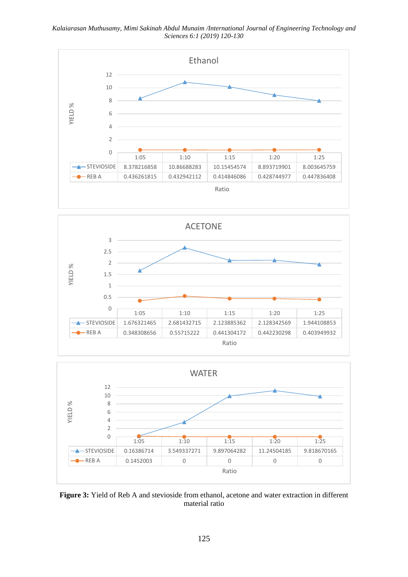*Kalaiarasan Muthusamy, Mimi Sakinah Abdul Munaim /International Journal of Engineering Technology and Sciences 6:1 (2019) 120-130*







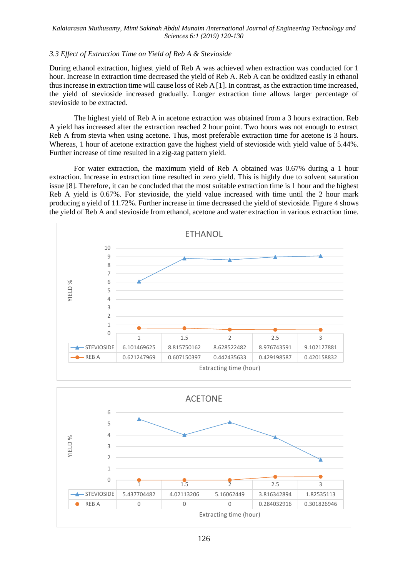## *3.3 Effect of Extraction Time on Yield of Reb A & Stevioside*

During ethanol extraction, highest yield of Reb A was achieved when extraction was conducted for 1 hour. Increase in extraction time decreased the yield of Reb A. Reb A can be oxidized easily in ethanol thus increase in extraction time will cause loss of Reb A [1]. In contrast, as the extraction time increased, the yield of stevioside increased gradually. Longer extraction time allows larger percentage of stevioside to be extracted.

The highest yield of Reb A in acetone extraction was obtained from a 3 hours extraction. Reb A yield has increased after the extraction reached 2 hour point. Two hours was not enough to extract Reb A from stevia when using acetone. Thus, most preferable extraction time for acetone is 3 hours. Whereas, 1 hour of acetone extraction gave the highest yield of stevioside with yield value of 5.44%. Further increase of time resulted in a zig-zag pattern yield.

For water extraction, the maximum yield of Reb A obtained was 0.67% during a 1 hour extraction. Increase in extraction time resulted in zero yield. This is highly due to solvent saturation issue [8]. Therefore, it can be concluded that the most suitable extraction time is 1 hour and the highest Reb A yield is 0.67%. For stevioside, the yield value increased with time until the 2 hour mark producing a yield of 11.72%. Further increase in time decreased the yield of stevioside. Figure 4 shows the yield of Reb A and stevioside from ethanol, acetone and water extraction in various extraction time.



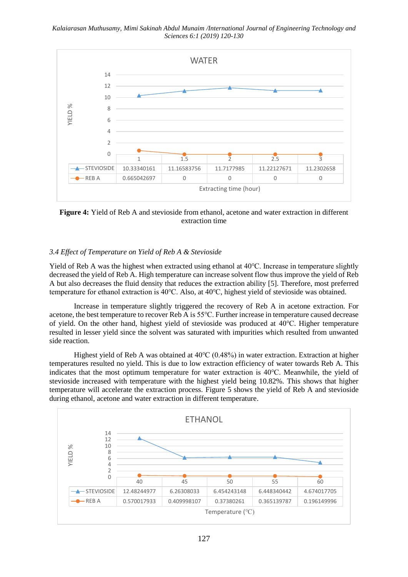

**Figure 4:** Yield of Reb A and stevioside from ethanol, acetone and water extraction in different extraction time

#### *3.4 Effect of Temperature on Yield of Reb A & Stevioside*

Yield of Reb A was the highest when extracted using ethanol at 40℃. Increase in temperature slightly decreased the yield of Reb A. High temperature can increase solvent flow thus improve the yield of Reb A but also decreases the fluid density that reduces the extraction ability [5]. Therefore, most preferred temperature for ethanol extraction is 40℃. Also, at 40℃, highest yield of stevioside was obtained.

Increase in temperature slightly triggered the recovery of Reb A in acetone extraction. For acetone, the best temperature to recover Reb A is 55℃. Further increase in temperature caused decrease of yield. On the other hand, highest yield of stevioside was produced at 40℃. Higher temperature resulted in lesser yield since the solvent was saturated with impurities which resulted from unwanted side reaction.

Highest yield of Reb A was obtained at 40℃ (0.48%) in water extraction. Extraction at higher temperatures resulted no yield. This is due to low extraction efficiency of water towards Reb A. This indicates that the most optimum temperature for water extraction is 40℃. Meanwhile, the yield of stevioside increased with temperature with the highest yield being 10.82%. This shows that higher temperature will accelerate the extraction process. Figure 5 shows the yield of Reb A and stevioside during ethanol, acetone and water extraction in different temperature.

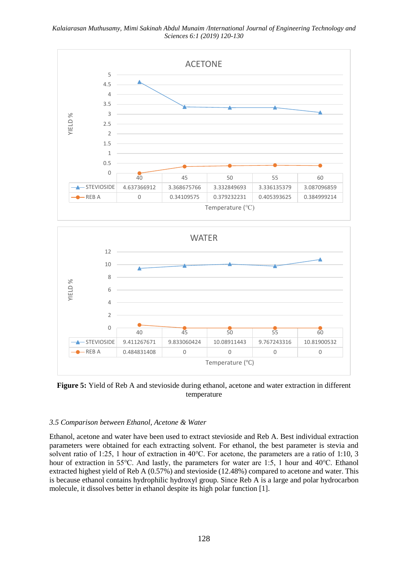

**Figure 5:** Yield of Reb A and stevioside during ethanol, acetone and water extraction in different temperature

## *3.5 Comparison between Ethanol, Acetone & Water*

Ethanol, acetone and water have been used to extract stevioside and Reb A. Best individual extraction parameters were obtained for each extracting solvent. For ethanol, the best parameter is stevia and solvent ratio of 1:25, 1 hour of extraction in 40℃. For acetone, the parameters are a ratio of 1:10, 3 hour of extraction in 55℃. And lastly, the parameters for water are 1:5, 1 hour and 40℃. Ethanol extracted highest yield of Reb A (0.57%) and stevioside (12.48%) compared to acetone and water. This is because ethanol contains hydrophilic hydroxyl group. Since Reb A is a large and polar hydrocarbon molecule, it dissolves better in ethanol despite its high polar function [1].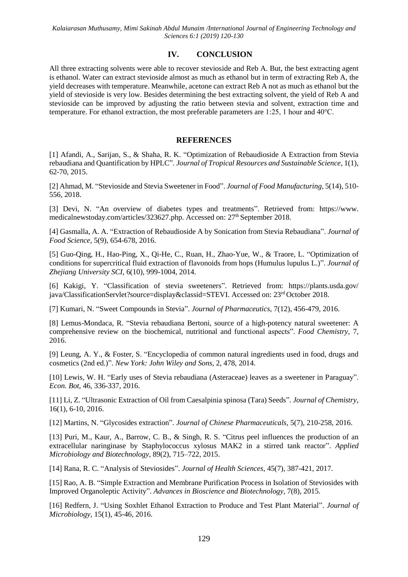## **IV. CONCLUSION**

All three extracting solvents were able to recover stevioside and Reb A. But, the best extracting agent is ethanol. Water can extract stevioside almost as much as ethanol but in term of extracting Reb A, the yield decreases with temperature. Meanwhile, acetone can extract Reb A not as much as ethanol but the yield of stevioside is very low. Besides determining the best extracting solvent, the yield of Reb A and stevioside can be improved by adjusting the ratio between stevia and solvent, extraction time and temperature. For ethanol extraction, the most preferable parameters are 1:25, 1 hour and 40℃.

## **REFERENCES**

[1] Afandi, A., Sarijan, S., & Shaha, R. K. "Optimization of Rebaudioside A Extraction from Stevia rebaudiana and Quantification by HPLC". *Journal of Tropical Resources and Sustainable Science,* 1(1), 62-70, 2015.

[2] Ahmad, M. "Stevioside and Stevia Sweetener in Food". *Journal of Food Manufacturing,* 5(14), 510- 556, 2018.

[3] Devi, N. "An overview of diabetes types and treatments". Retrieved from: https://www. medicalnewstoday.com/articles/323627.php. Accessed on: 27<sup>th</sup> September 2018.

[4] Gasmalla, A. A. "Extraction of Rebaudioside A by Sonication from Stevia Rebaudiana". *Journal of Food Science,* 5(9), 654-678, 2016.

[5] Guo-Qing, H., Hao-Ping, X., Qi-He, C., Ruan, H., Zhao-Yue, W., & Traore, L. "Optimization of conditions for supercritical fluid extraction of flavonoids from hops (Humulus lupulus L.)". *Journal of Zhejiang University SCI,* 6(10), 999-1004, 2014.

[6] Kakigi, Y. "Classification of stevia sweeteners". Retrieved from: https://plants.usda.gov/ java/ClassificationServlet?source=display&classid=STEVI. Accessed on: 23rd October 2018.

[7] Kumari, N. "Sweet Compounds in Stevia". *Journal of Pharmaceutics,* 7(12), 456-479, 2016.

[8] Lemus-Mondaca, R. "Stevia rebaudiana Bertoni, source of a high-potency natural sweetener: A comprehensive review on the biochemical, nutritional and functional aspects". *Food Chemistry,* 7, 2016.

[9] Leung, A. Y., & Foster, S. "Encyclopedia of common natural ingredients used in food, drugs and cosmetics (2nd ed.)". *New York: John Wiley and Sons,* 2, 478, 2014.

[10] Lewis, W. H. "Early uses of Stevia rebaudiana (Asteraceae) leaves as a sweetener in Paraguay". *Econ. Bot,* 46, 336-337, 2016.

[11] Li, Z. "Ultrasonic Extraction of Oil from Caesalpinia spinosa (Tara) Seeds". *Journal of Chemistry,* 16(1), 6-10, 2016.

[12] Martins, N. "Glycosides extraction". *Journal of Chinese Pharmaceuticals,* 5(7), 210-258, 2016.

[13] Puri, M., Kaur, A., Barrow, C. B., & Singh, R. S. "Citrus peel influences the production of an extracellular naringinase by Staphylococcus xylosus MAK2 in a stirred tank reactor". *Applied Microbiology and Biotechnology,* 89(2), 715–722, 2015.

[14] Rana, R. C. "Analysis of Steviosides". *Journal of Health Sciences,* 45(7), 387-421, 2017.

[15] Rao, A. B. "Simple Extraction and Membrane Purification Process in Isolation of Steviosides with Improved Organoleptic Activity". *Advances in Bioscience and Biotechnology,* 7(8), 2015.

[16] Redfern, J. "Using Soxhlet Ethanol Extraction to Produce and Test Plant Material". *Journal of Microbiology,* 15(1), 45-46, 2016.